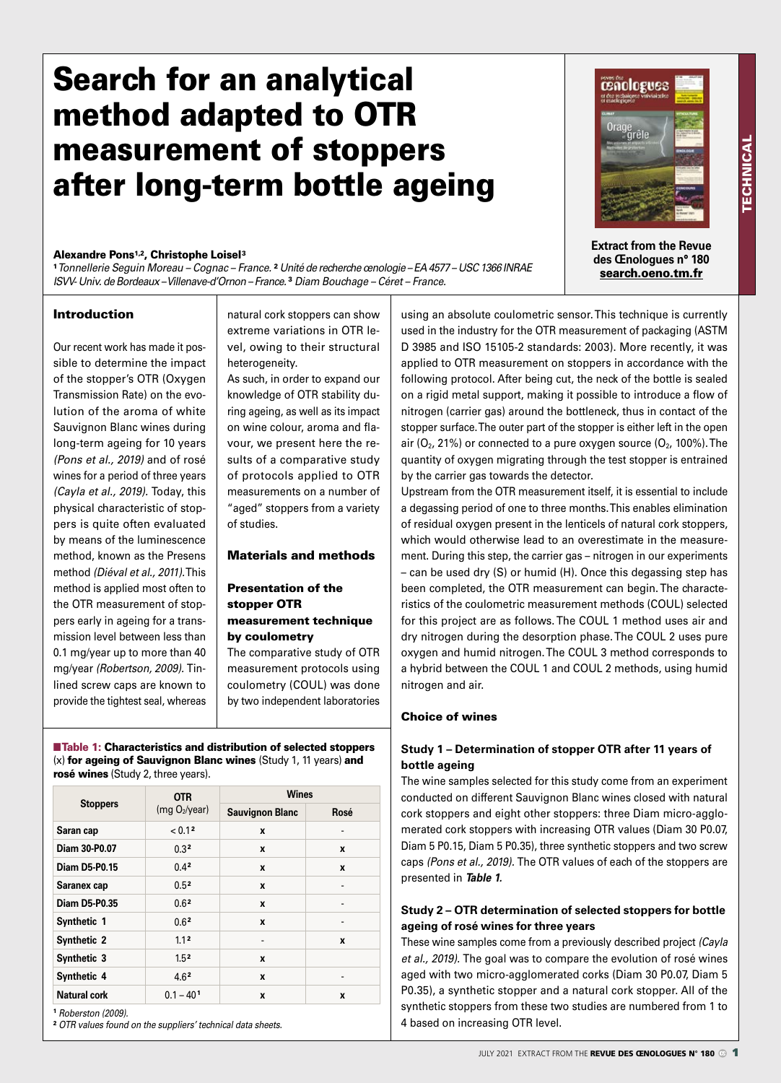## Search for an analytical method adapted to OTR measurement of stoppers after long-term bottle ageing

#### Alexandre Pons1,2, Christophe Loisel3

<sup>1</sup> *Tonnellerie Seguin Moreau – Cognac – France.* <sup>2</sup> *Unité de recherche œnologie – EA 4577 – USC 1366 INRAE ISVV- Univ. de Bordeaux – Villenave-d'Ornon – France.* <sup>3</sup> *Diam Bouchage – Céret – France.*

#### Introduction

Our recent work has made it possible to determine the impact of the stopper's OTR (Oxygen Transmission Rate) on the evolution of the aroma of white Sauvignon Blanc wines during long-term ageing for 10 years *(Pons et al., 2019)* and of rosé wines for a period of three years *(Cayla et al., 2019).* Today, this physical characteristic of stoppers is quite often evaluated by means of the luminescence method, known as the Presens method *(Diéval et al., 2011).* This method is applied most often to the OTR measurement of stoppers early in ageing for a transmission level between less than 0.1 mg/year up to more than 40 mg/year *(Robertson, 2009).* Tinlined screw caps are known to provide the tightest seal, whereas

natural cork stoppers can show extreme variations in OTR level, owing to their structural heterogeneity.

As such, in order to expand our knowledge of OTR stability during ageing, as well as its impact on wine colour, aroma and flavour, we present here the results of a comparative study of protocols applied to OTR measurements on a number of "aged" stoppers from a variety of studies.

#### Materials and methods

#### Presentation of the stopper OTR measurement technique by coulometry

The comparative study of OTR measurement protocols using coulometry (COUL) was done by two independent laboratories

■Table 1: Characteristics and distribution of selected stoppers (x) for ageing of Sauvignon Blanc wines (Study 1, 11 years) and rosé wines (Study 2, three years).

|                      | <b>OTR</b><br>(mg O <sub>2</sub> /year) | <b>Wines</b>           |      |  |  |
|----------------------|-----------------------------------------|------------------------|------|--|--|
| <b>Stoppers</b>      |                                         | <b>Sauvignon Blanc</b> | Rosé |  |  |
| Saran cap            | < 0.12                                  | X                      | -    |  |  |
| Diam 30-P0.07        | 0.3 <sup>2</sup>                        | X                      | X    |  |  |
| <b>Diam D5-P0.15</b> | 0.42                                    | X                      | X    |  |  |
| Saranex cap          | 0.5 <sup>2</sup>                        | X                      |      |  |  |
| <b>Diam D5-P0.35</b> | 0.6 <sup>2</sup>                        | X                      |      |  |  |
| Synthetic 1          | 0.6 <sup>2</sup>                        | X                      |      |  |  |
| <b>Synthetic 2</b>   | 1.1 <sup>2</sup>                        |                        | X    |  |  |
| Synthetic 3          | 1.5 <sup>2</sup>                        | X                      |      |  |  |
| Synthetic 4          | 4.6 <sup>2</sup>                        | X                      | -    |  |  |
| Natural cork         | $0.1 - 401$                             | X                      | X    |  |  |

<sup>1</sup> *Roberston (2009).*

2 *OTR values found on the suppliers' technical data sheets.*

# **Extract from the Revue des Œnologues n° 180**

**cenologues** 

search.oeno.tm.fr

using an absolute coulometric sensor. This technique is currently used in the industry for the OTR measurement of packaging (ASTM D 3985 and ISO 15105-2 standards: 2003). More recently, it was applied to OTR measurement on stoppers in accordance with the following protocol. After being cut, the neck of the bottle is sealed on a rigid metal support, making it possible to introduce a flow of nitrogen (carrier gas) around the bottleneck, thus in contact of the stopper surface. The outer part of the stopper is either left in the open air  $(O_2, 21\%)$  or connected to a pure oxygen source  $(O_2, 100\%)$ . The quantity of oxygen migrating through the test stopper is entrained by the carrier gas towards the detector.

Upstream from the OTR measurement itself, it is essential to include a degassing period of one to three months. This enables elimination of residual oxygen present in the lenticels of natural cork stoppers, which would otherwise lead to an overestimate in the measurement. During this step, the carrier gas – nitrogen in our experiments – can be used dry (S) or humid (H). Once this degassing step has been completed, the OTR measurement can begin. The characteristics of the coulometric measurement methods (COUL) selected for this project are as follows. The COUL 1 method uses air and dry nitrogen during the desorption phase. The COUL 2 uses pure oxygen and humid nitrogen. The COUL 3 method corresponds to a hybrid between the COUL 1 and COUL 2 methods, using humid nitrogen and air.

#### Choice of wines

#### **Study 1 – Determination of stopper OTR after 11 years of bottle ageing**

The wine samples selected for this study come from an experiment conducted on different Sauvignon Blanc wines closed with natural cork stoppers and eight other stoppers: three Diam micro-agglomerated cork stoppers with increasing OTR values (Diam 30 P0.07, Diam 5 P0.15, Diam 5 P0.35), three synthetic stoppers and two screw caps *(Pons et al., 2019).* The OTR values of each of the stoppers are presented in *Table 1.*

#### **Study 2 – OTR determination of selected stoppers for bottle ageing of rosé wines for three years**

These wine samples come from a previously described project *(Cayla et al., 2019).* The goal was to compare the evolution of rosé wines aged with two micro-agglomerated corks (Diam 30 P0.07, Diam 5 P0.35), a synthetic stopper and a natural cork stopper. All of the synthetic stoppers from these two studies are numbered from 1 to 4 based on increasing OTR level.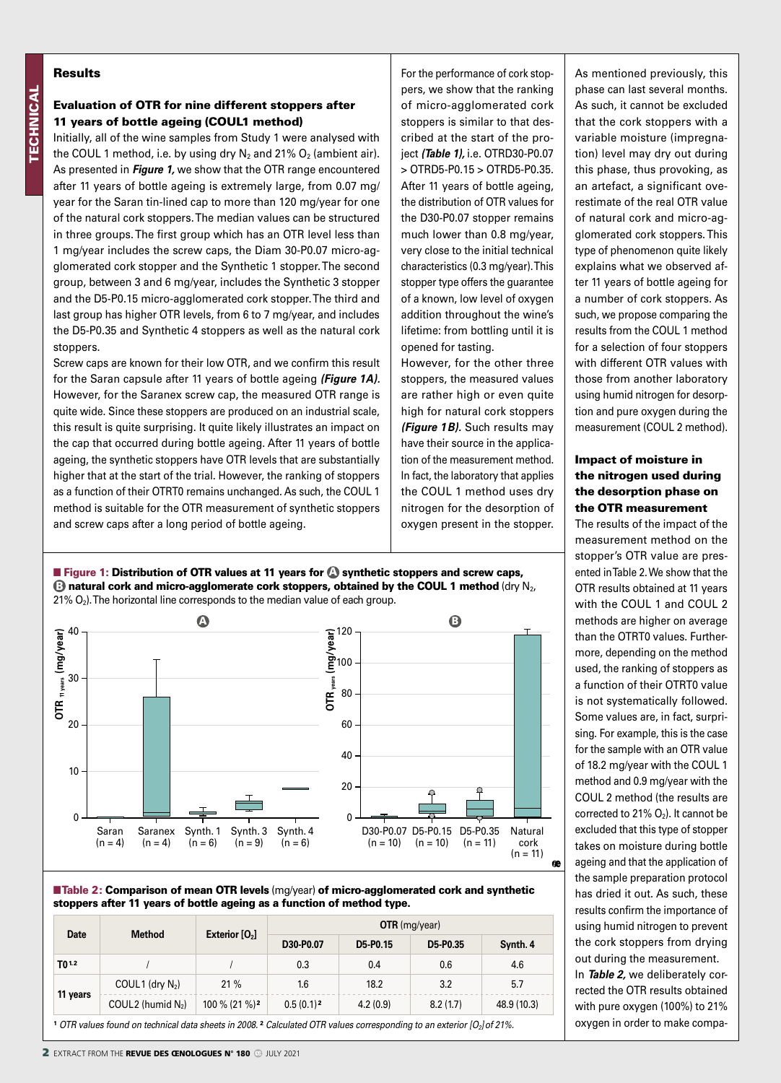#### Results

#### Evaluation of OTR for nine different stoppers after 11 years of bottle ageing (COUL1 method)

Initially, all of the wine samples from Study 1 were analysed with the COUL 1 method, i.e. by using dry  $N_2$  and 21%  $O_2$  (ambient air). As presented in *Figure 1,* we show that the OTR range encountered after 11 years of bottle ageing is extremely large, from 0.07 mg/ year for the Saran tin-lined cap to more than 120 mg/year for one of the natural cork stoppers. The median values can be structured in three groups. The first group which has an OTR level less than 1 mg/year includes the screw caps, the Diam 30-P0.07 micro-agglomerated cork stopper and the Synthetic 1 stopper. The second group, between 3 and 6 mg/year, includes the Synthetic 3 stopper and the D5-P0.15 micro-agglomerated cork stopper. The third and last group has higher OTR levels, from 6 to 7 mg/year, and includes the D5-P0.35 and Synthetic 4 stoppers as well as the natural cork stoppers.

Screw caps are known for their low OTR, and we confirm this result for the Saran capsule after 11 years of bottle ageing *(Figure 1A).*  However, for the Saranex screw cap, the measured OTR range is quite wide. Since these stoppers are produced on an industrial scale, this result is quite surprising. It quite likely illustrates an impact on the cap that occurred during bottle ageing. After 11 years of bottle ageing, the synthetic stoppers have OTR levels that are substantially higher that at the start of the trial. However, the ranking of stoppers as a function of their OTRT0 remains unchanged. As such, the COUL 1 method is suitable for the OTR measurement of synthetic stoppers and screw caps after a long period of bottle ageing.

For the performance of cork stoppers, we show that the ranking of micro-agglomerated cork stoppers is similar to that described at the start of the project *(Table 1),* i.e. OTRD30-P0.07 > OTRD5-P0.15 > OTRD5-P0.35. After 11 years of bottle ageing, the distribution of OTR values for the D30-P0.07 stopper remains much lower than 0.8 mg/year, very close to the initial technical characteristics (0.3 mg/year). This stopper type offers the guarantee of a known, low level of oxygen addition throughout the wine's lifetime: from bottling until it is opened for tasting.

However, for the other three stoppers, the measured values are rather high or even quite high for natural cork stoppers *(Figure 1B).* Such results may have their source in the application of the measurement method. In fact, the laboratory that applies the COUL 1 method uses dry nitrogen for the desorption of oxygen present in the stopper.

**Figure 1: Distribution of OTR values at 11 years for @ synthetic stoppers and screw caps, B** natural cork and micro-agglomerate cork stoppers, obtained by the COUL 1 method (dry N<sub>2</sub>, 21%  $O_2$ ). The horizontal line corresponds to the median value of each group.





| <b>Date</b>                                                                                                                   | <b>Method</b>         | Exterior $[O_2]$          | $OTR$ (mg/year) |          |          |             |  |
|-------------------------------------------------------------------------------------------------------------------------------|-----------------------|---------------------------|-----------------|----------|----------|-------------|--|
|                                                                                                                               |                       |                           | D30-P0.07       | D5-P0.15 | D5-P0.35 | Synth. 4    |  |
| T <sub>0</sub> 12                                                                                                             |                       |                           | 0.3             | 0.4      | 0.6      | 4.6         |  |
| 11 years                                                                                                                      | COUL1 (dry $N_2$ )    | 21%                       | 1.6             | 18.2     | 3.2      | 5.7         |  |
|                                                                                                                               | COUL 2 (humid $N_2$ ) | 100 % (21 %) <sup>2</sup> | $0.5(0.1)^2$    | 4.2(0.9) | 8.2(1.7) | 48.9 (10.3) |  |
| 1.000 to the second and entertained data aboate in 2000 2.0 clay lated OTD values secures and in a to an exterior (O Lef 210/ |                       |                           |                 |          |          |             |  |

1 *OTR values found on technical data sheets in 2008.* 2 *Calculated OTR values corresponding to an exterior [O2]of 21%.*

As mentioned previously, this phase can last several months. As such, it cannot be excluded that the cork stoppers with a variable moisture (impregnation) level may dry out during this phase, thus provoking, as an artefact, a significant overestimate of the real OTR value of natural cork and micro-agglomerated cork stoppers. This type of phenomenon quite likely explains what we observed after 11 years of bottle ageing for a number of cork stoppers. As such, we propose comparing the results from the COUL 1 method for a selection of four stoppers with different OTR values with those from another laboratory using humid nitrogen for desorption and pure oxygen during the measurement (COUL 2 method).

#### Impact of moisture in the nitrogen used during the desorption phase on the OTR measurement

The results of the impact of the measurement method on the stopper's OTR value are presented in Table 2. We show that the OTR results obtained at 11 years with the COUL 1 and COUL 2 methods are higher on average than the OTRT0 values. Furthermore, depending on the method used, the ranking of stoppers as a function of their OTRT0 value is not systematically followed. Some values are, in fact, surprising. For example, this is the case for the sample with an OTR value of 18.2 mg/year with the COUL 1 method and 0.9 mg/year with the COUL 2 method (the results are corrected to 21%  $O_2$ ). It cannot be excluded that this type of stopper takes on moisture during bottle ageing and that the application of the sample preparation protocol has dried it out. As such, these results confirm the importance of using humid nitrogen to prevent the cork stoppers from drying out during the measurement.

In *Table 2,* we deliberately corrected the OTR results obtained with pure oxygen (100%) to 21% oxygen in order to make compa-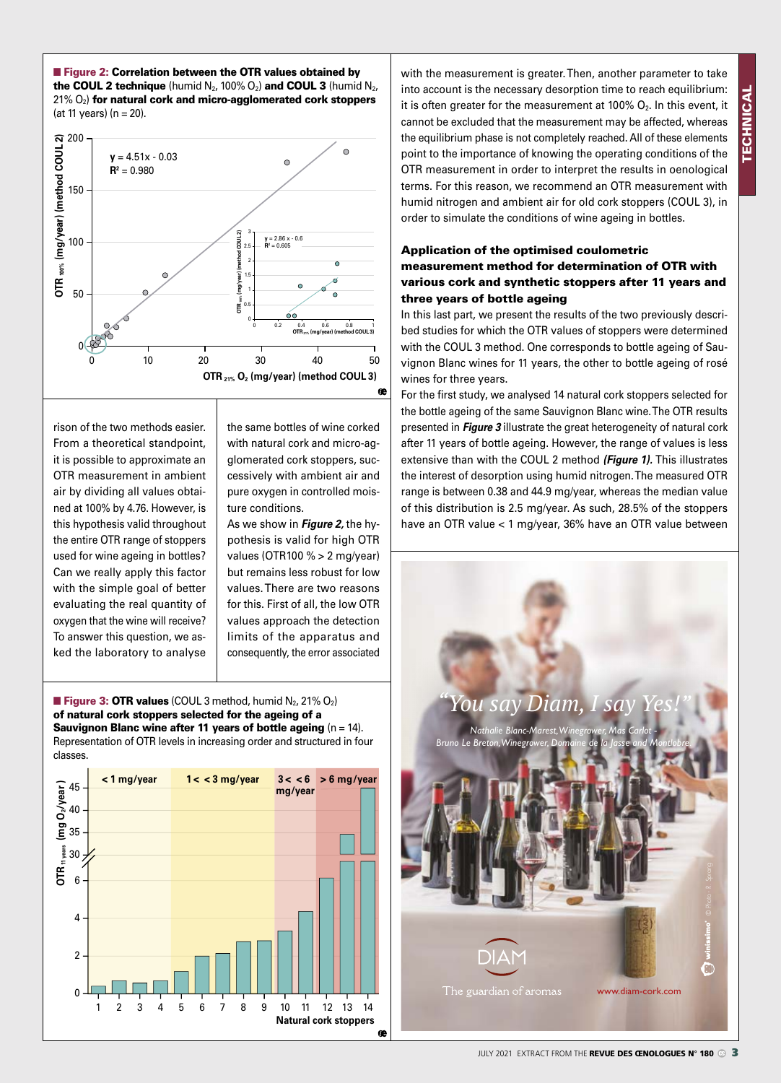

**Figure 2: Correlation between the OTR values obtained by** the COUL 2 technique (humid  $N_2$ , 100%  $O_2$ ) and COUL 3 (humid  $N_2$ ,

rison of the two methods easier. From a theoretical standpoint, it is possible to approximate an OTR measurement in ambient air by dividing all values obtained at 100% by 4.76. However, is this hypothesis valid throughout the entire OTR range of stoppers used for wine ageing in bottles? Can we really apply this factor with the simple goal of better evaluating the real quantity of oxygen that the wine will receive? To answer this question, we asked the laboratory to analyse

the same bottles of wine corked with natural cork and micro-agglomerated cork stoppers, successively with ambient air and pure oxygen in controlled moisture conditions.

As we show in *Figure 2,* the hypothesis is valid for high OTR values (OTR100 % > 2 mg/year) but remains less robust for low values. There are two reasons for this. First of all, the low OTR values approach the detection limits of the apparatus and consequently, the error associated

**Figure 3: OTR values** (COUL 3 method, humid  $N_2$ , 21%  $O_2$ ) of natural cork stoppers selected for the ageing of a Sauvignon Blanc wine after 11 years of bottle ageing  $(n = 14)$ . Representation of OTR levels in increasing order and structured in four classes.



with the measurement is greater. Then, another parameter to take into account is the necessary desorption time to reach equilibrium: it is often greater for the measurement at 100%  $O_2$ . In this event, it cannot be excluded that the measurement may be affected, whereas the equilibrium phase is not completely reached. All of these elements point to the importance of knowing the operating conditions of the OTR measurement in order to interpret the results in oenological terms. For this reason, we recommend an OTR measurement with humid nitrogen and ambient air for old cork stoppers (COUL 3), in order to simulate the conditions of wine ageing in bottles.

### Application of the optimised coulometric measurement method for determination of OTR with various cork and synthetic stoppers after 11 years and three years of bottle ageing

In this last part, we present the results of the two previously described studies for which the OTR values of stoppers were determined with the COUL 3 method. One corresponds to bottle ageing of Sauvignon Blanc wines for 11 years, the other to bottle ageing of rosé wines for three years.

For the first study, we analysed 14 natural cork stoppers selected for the bottle ageing of the same Sauvignon Blanc wine. The OTR results presented in *Figure 3* illustrate the great heterogeneity of natural cork after 11 years of bottle ageing. However, the range of values is less extensive than with the COUL 2 method *(Figure 1).* This illustrates the interest of desorption using humid nitrogen. The measured OTR range is between 0.38 and 44.9 mg/year, whereas the median value of this distribution is 2.5 mg/year. As such, 28.5% of the stoppers have an OTR value < 1 mg/year, 36% have an OTR value between

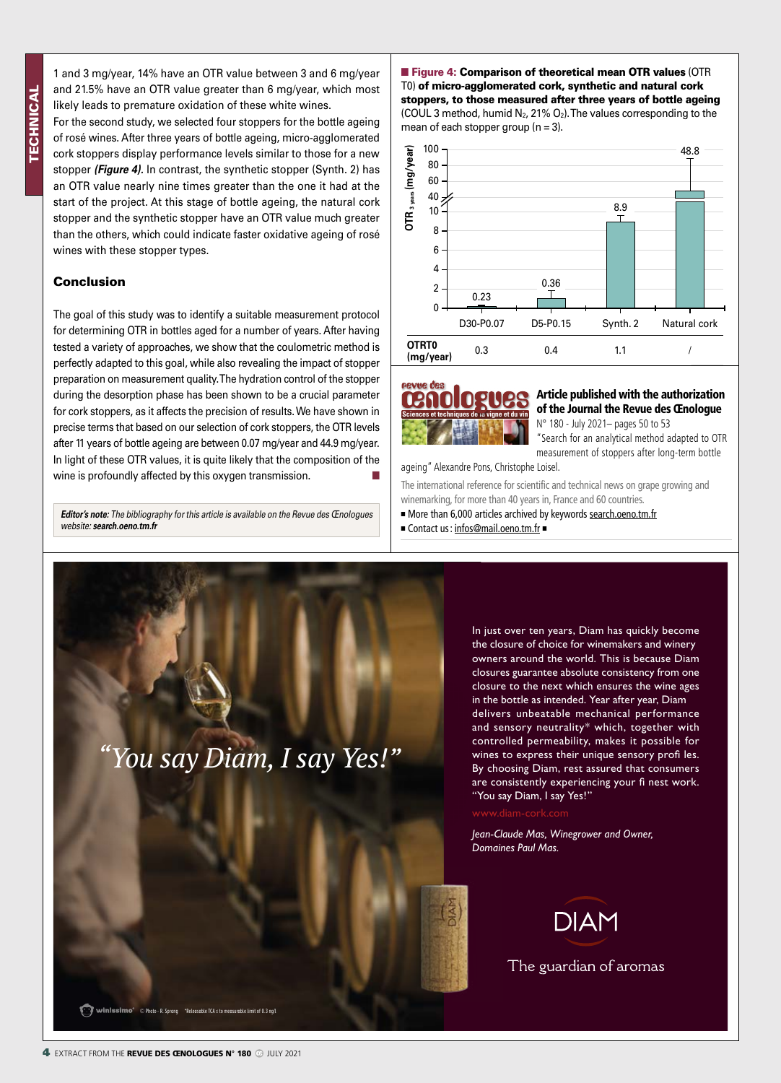1 and 3 mg/year, 14% have an OTR value between 3 and 6 mg/year and 21.5% have an OTR value greater than 6 mg/year, which most likely leads to premature oxidation of these white wines.

For the second study, we selected four stoppers for the bottle ageing of rosé wines. After three years of bottle ageing, micro-agglomerated cork stoppers display performance levels similar to those for a new stopper *(Figure 4).* In contrast, the synthetic stopper (Synth. 2) has an OTR value nearly nine times greater than the one it had at the start of the project. At this stage of bottle ageing, the natural cork stopper and the synthetic stopper have an OTR value much greater than the others, which could indicate faster oxidative ageing of rosé wines with these stopper types.

#### Conclusion

The goal of this study was to identify a suitable measurement protocol for determining OTR in bottles aged for a number of years. After having tested a variety of approaches, we show that the coulometric method is perfectly adapted to this goal, while also revealing the impact of stopper preparation on measurement quality. The hydration control of the stopper during the desorption phase has been shown to be a crucial parameter for cork stoppers, as it affects the precision of results. We have shown in precise terms that based on our selection of cork stoppers, the OTR levels after 11 years of bottle ageing are between 0.07 mg/year and 44.9 mg/year. In light of these OTR values, it is quite likely that the composition of the wine is profoundly affected by this oxygen transmission.

*Editor's note: The bibliography for this article is available on the Revue des Œnologues website: search.oeno.tm.fr*



**Figure 4: Comparison of theoretical mean OTR values (OTR** T0) of micro-agglomerated cork, synthetic and natural cork stoppers, to those measured after three years of bottle ageing (COUL 3 method, humid  $N_2$ , 21%  $O_2$ ). The values corresponding to the mean of each stopper group ( $n = 3$ ).





#### Article published with the authorization of the Journal the Revue des Œnologue

N° 180 - July 2021– pages 50 to 53

"Search for an analytical method adapted to OTR measurement of stoppers after long-term bottle

ageing" Alexandre Pons, Christophe Loisel.

ageing" Alexandre Pons, Christophe Loisel.<br>The international reference for scientific and technical news on grape growing and winemarking, for more than 40 years in, France and 60 countries.

■ More than 6,000 articles archived by keywords search.oeno.tm.fr

■ Contact us: infos@mail.oeno.tm.fr ■

In just over ten years, Diam has quickly become the closure of choice for winemakers and winery owners around the world. This is because Diam closures guarantee absolute consistency from one closure to the next which ensures the wine ages in the bottle as intended. Year after year, Diam delivers unbeatable mechanical performance and sensory neutrality\* which, together with controlled permeability, makes it possible for wines to express their unique sensory profi les. By choosing Diam, rest assured that consumers are consistently experiencing your fi nest work. "You say Diam, I say Yes!"

*Jean-Claude Mas, Winegrower and Owner, Domaines Paul Mas.*



The guardian of aromas